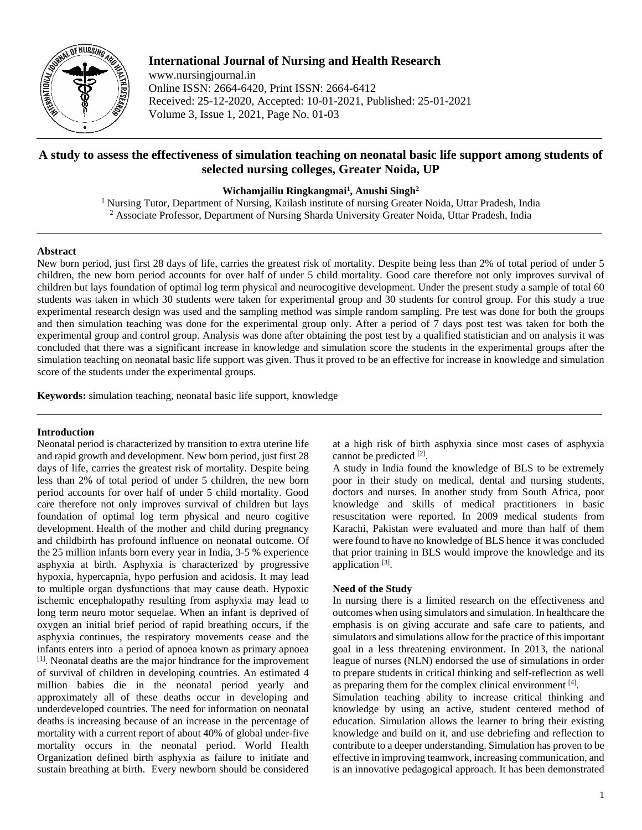

**International Journal of Nursing and Health Research**

www.nursingjournal.in Online ISSN: 2664-6420, Print ISSN: 2664-6412 Received: 25-12-2020, Accepted: 10-01-2021, Published: 25-01-2021 Volume 3, Issue 1, 2021, Page No. 01-03

# **A study to assess the effectiveness of simulation teaching on neonatal basic life support among students of selected nursing colleges, Greater Noida, UP**

**Wichamjailiu Ringkangmai1 , Anushi Singh2**

<sup>1</sup> Nursing Tutor, Department of Nursing, Kailash institute of nursing Greater Noida, Uttar Pradesh, India <sup>2</sup> Associate Professor, Department of Nursing Sharda University Greater Noida, Uttar Pradesh, India

#### **Abstract**

New born period, just first 28 days of life, carries the greatest risk of mortality. Despite being less than 2% of total period of under 5 children, the new born period accounts for over half of under 5 child mortality. Good care therefore not only improves survival of children but lays foundation of optimal log term physical and neurocogitive development. Under the present study a sample of total 60 students was taken in which 30 students were taken for experimental group and 30 students for control group. For this study a true experimental research design was used and the sampling method was simple random sampling. Pre test was done for both the groups and then simulation teaching was done for the experimental group only. After a period of 7 days post test was taken for both the experimental group and control group. Analysis was done after obtaining the post test by a qualified statistician and on analysis it was concluded that there was a significant increase in knowledge and simulation score the students in the experimental groups after the simulation teaching on neonatal basic life support was given. Thus it proved to be an effective for increase in knowledge and simulation score of the students under the experimental groups.

**Keywords:** simulation teaching, neonatal basic life support, knowledge

### **Introduction**

Neonatal period is characterized by transition to extra uterine life and rapid growth and development. New born period, just first 28 days of life, carries the greatest risk of mortality. Despite being less than 2% of total period of under 5 children, the new born period accounts for over half of under 5 child mortality. Good care therefore not only improves survival of children but lays foundation of optimal log term physical and neuro cogitive development. Health of the mother and child during pregnancy and childbirth has profound influence on neonatal outcome. Of the 25 million infants born every year in India, 3-5 % experience asphyxia at birth. Asphyxia is characterized by progressive hypoxia, hypercapnia, hypo perfusion and acidosis. It may lead to multiple organ dysfunctions that may cause death. Hypoxic ischemic encephalopathy resulting from asphyxia may lead to long term neuro motor sequelae. When an infant is deprived of oxygen an initial brief period of rapid breathing occurs, if the asphyxia continues, the respiratory movements cease and the infants enters into a period of apnoea known as primary apnoea [1] . Neonatal deaths are the major hindrance for the improvement of survival of children in developing countries. An estimated 4 million babies die in the neonatal period yearly and approximately all of these deaths occur in developing and underdeveloped countries. The need for information on neonatal deaths is increasing because of an increase in the percentage of mortality with a current report of about 40% of global under-five mortality occurs in the neonatal period. World Health Organization defined birth asphyxia as failure to initiate and sustain breathing at birth. Every newborn should be considered at a high risk of birth asphyxia since most cases of asphyxia cannot be predicted [2].

A study in India found the knowledge of BLS to be extremely poor in their study on medical, dental and nursing students, doctors and nurses. In another study from South Africa, poor knowledge and skills of medical practitioners in basic resuscitation were reported. In 2009 medical students from Karachi, Pakistan were evaluated and more than half of them were found to have no knowledge of BLS hence it was concluded that prior training in BLS would improve the knowledge and its application<sup>[3]</sup>.

#### **Need of the Study**

In nursing there is a limited research on the effectiveness and outcomes when using simulators and simulation. In healthcare the emphasis is on giving accurate and safe care to patients, and simulators and simulations allow for the practice of this important goal in a less threatening environment. In 2013, the national league of nurses (NLN) endorsed the use of simulations in order to prepare students in critical thinking and self-reflection as well as preparing them for the complex clinical environment [4].

Simulation teaching ability to increase critical thinking and knowledge by using an active, student centered method of education. Simulation allows the learner to bring their existing knowledge and build on it, and use debriefing and reflection to contribute to a deeper understanding. Simulation has proven to be effective in improving teamwork, increasing communication, and is an innovative pedagogical approach. It has been demonstrated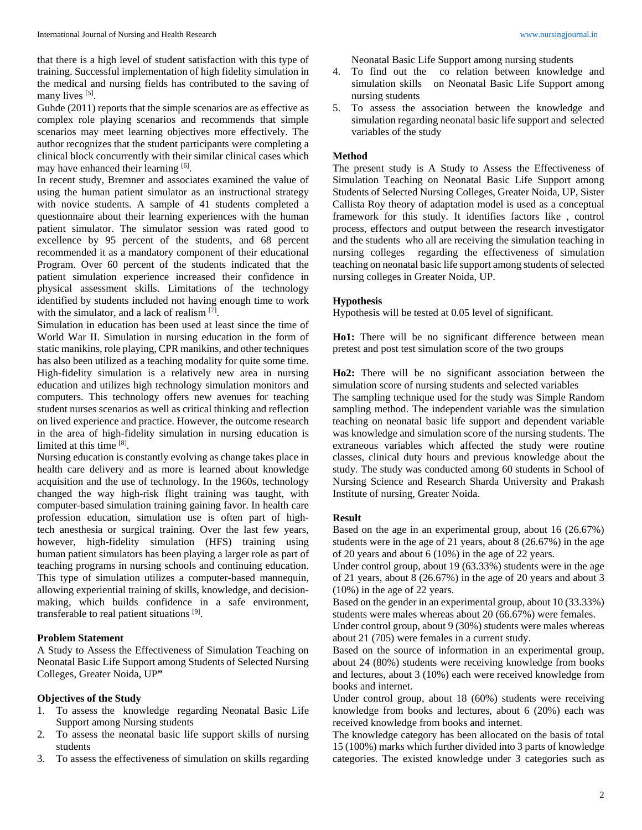that there is a high level of student satisfaction with this type of training. Successful implementation of high fidelity simulation in the medical and nursing fields has contributed to the saving of many lives [5].

Guhde (2011) reports that the simple scenarios are as effective as complex role playing scenarios and recommends that simple scenarios may meet learning objectives more effectively. The author recognizes that the student participants were completing a clinical block concurrently with their similar clinical cases which may have enhanced their learning [6].

In recent study, Bremner and associates examined the value of using the human patient simulator as an instructional strategy with novice students. A sample of 41 students completed a questionnaire about their learning experiences with the human patient simulator. The simulator session was rated good to excellence by 95 percent of the students, and 68 percent recommended it as a mandatory component of their educational Program. Over 60 percent of the students indicated that the patient simulation experience increased their confidence in physical assessment skills. Limitations of the technology identified by students included not having enough time to work with the simulator, and a lack of realism [7].

Simulation in education has been used at least since the time of World War II. Simulation in nursing education in the form of static manikins, role playing, CPR manikins, and other techniques has also been utilized as a teaching modality for quite some time. High-fidelity simulation is a relatively new area in nursing education and utilizes high technology simulation monitors and computers. This technology offers new avenues for teaching student nurses scenarios as well as critical thinking and reflection on lived experience and practice. However, the outcome research in the area of high-fidelity simulation in nursing education is limited at this time [8].

Nursing education is constantly evolving as change takes place in health care delivery and as more is learned about knowledge acquisition and the use of technology. In the 1960s, technology changed the way high-risk flight training was taught, with computer-based simulation training gaining favor. In health care profession education, simulation use is often part of hightech anesthesia or surgical training. Over the last few years, however, high-fidelity simulation (HFS) training using human patient simulators has been playing a larger role as part of teaching programs in nursing schools and continuing education. This type of simulation utilizes a computer-based mannequin, allowing experiential training of skills, knowledge, and decisionmaking, which builds confidence in a safe environment, transferable to real patient situations [9].

#### **Problem Statement**

A Study to Assess the Effectiveness of Simulation Teaching on Neonatal Basic Life Support among Students of Selected Nursing Colleges, Greater Noida, UP**"**

## **Objectives of the Study**

- 1. To assess the knowledge regarding Neonatal Basic Life Support among Nursing students
- 2. To assess the neonatal basic life support skills of nursing students
- 3. To assess the effectiveness of simulation on skills regarding

Neonatal Basic Life Support among nursing students

- 4. To find out the co relation between knowledge and simulation skills on Neonatal Basic Life Support among nursing students
- 5. To assess the association between the knowledge and simulation regarding neonatal basic life support and selected variables of the study

### **Method**

The present study is A Study to Assess the Effectiveness of Simulation Teaching on Neonatal Basic Life Support among Students of Selected Nursing Colleges, Greater Noida, UP, Sister Callista Roy theory of adaptation model is used as a conceptual framework for this study. It identifies factors like , control process, effectors and output between the research investigator and the students who all are receiving the simulation teaching in nursing colleges regarding the effectiveness of simulation teaching on neonatal basic life support among students of selected nursing colleges in Greater Noida, UP.

### **Hypothesis**

Hypothesis will be tested at 0.05 level of significant.

**Ho1:** There will be no significant difference between mean pretest and post test simulation score of the two groups

**Ho2:** There will be no significant association between the simulation score of nursing students and selected variables

The sampling technique used for the study was Simple Random sampling method. The independent variable was the simulation teaching on neonatal basic life support and dependent variable was knowledge and simulation score of the nursing students. The extraneous variables which affected the study were routine classes, clinical duty hours and previous knowledge about the study. The study was conducted among 60 students in School of Nursing Science and Research Sharda University and Prakash Institute of nursing, Greater Noida.

## **Result**

Based on the age in an experimental group, about 16 (26.67%) students were in the age of 21 years, about 8 (26.67%) in the age of 20 years and about 6 (10%) in the age of 22 years.

Under control group, about 19 (63.33%) students were in the age of 21 years, about 8 (26.67%) in the age of 20 years and about 3 (10%) in the age of 22 years.

Based on the gender in an experimental group, about 10 (33.33%) students were males whereas about 20 (66.67%) were females.

Under control group, about 9 (30%) students were males whereas about 21 (705) were females in a current study.

Based on the source of information in an experimental group, about 24 (80%) students were receiving knowledge from books and lectures, about 3 (10%) each were received knowledge from books and internet.

Under control group, about 18 (60%) students were receiving knowledge from books and lectures, about 6 (20%) each was received knowledge from books and internet.

The knowledge category has been allocated on the basis of total 15 (100%) marks which further divided into 3 parts of knowledge categories. The existed knowledge under 3 categories such as